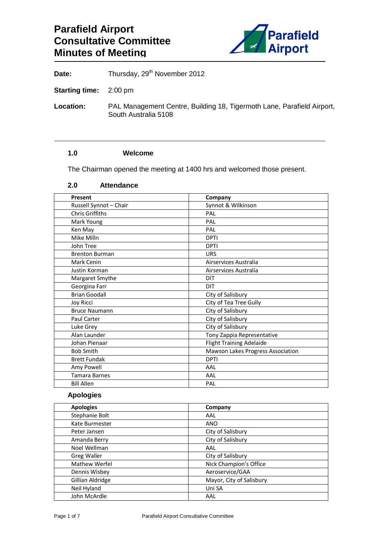

Date: Thursday, 29<sup>th</sup> November 2012

**Starting time:** 2:00 pm

**Location:** PAL Management Centre, Building 18, Tigermoth Lane, Parafield Airport, South Australia 5108

### **1.0 Welcome**

The Chairman opened the meeting at 1400 hrs and welcomed those present.

### **2.0 Attendance**

| Present                | Company                           |
|------------------------|-----------------------------------|
| Russell Synnot - Chair | Synnot & Wilkinson                |
| <b>Chris Griffiths</b> | PAL                               |
| Mark Young             | PAL                               |
| Ken May                | PAL                               |
| Mike Milln             | <b>DPTI</b>                       |
| John Tree              | <b>DPTI</b>                       |
| <b>Brenton Burman</b>  | <b>URS</b>                        |
| Mark Cenin             | Airservices Australia             |
| Justin Korman          | Airservices Australia             |
| Margaret Smythe        | DIT                               |
| Georgina Farr          | <b>DIT</b>                        |
| <b>Brian Goodall</b>   | City of Salisbury                 |
| Joy Ricci              | City of Tea Tree Gully            |
| <b>Bruce Naumann</b>   | City of Salisbury                 |
| <b>Paul Carter</b>     | City of Salisbury                 |
| Luke Grey              | City of Salisbury                 |
| Alan Launder           | Tony Zappia Representative        |
| Johan Pienaar          | <b>Flight Training Adelaide</b>   |
| <b>Bob Smith</b>       | Mawson Lakes Progress Association |
| <b>Brett Fundak</b>    | <b>DPTI</b>                       |
| Amy Powell             | AAL                               |
| <b>Tamara Barnes</b>   | AAL                               |
| <b>Bill Allen</b>      | PAL                               |

#### **Apologies**

| <b>Apologies</b>   | Company                  |
|--------------------|--------------------------|
| Stephanie Bolt     | AAL                      |
| Kate Burmester     | <b>ANO</b>               |
| Peter Jansen       | City of Salisbury        |
| Amanda Berry       | City of Salisbury        |
| Noel Wellman       | AAL                      |
| <b>Greg Waller</b> | City of Salisbury        |
| Mathew Werfel      | Nick Champion's Office   |
| Dennis Wisbey      | Aeroservice/GAA          |
| Gillian Aldridge   | Mayor, City of Salisbury |
| Neil Hyland        | Uni SA                   |
| John McArdle       | AAL                      |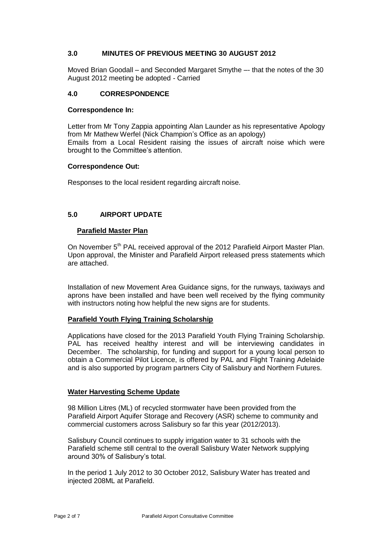#### **3.0 MINUTES OF PREVIOUS MEETING 30 AUGUST 2012**

Moved Brian Goodall – and Seconded Margaret Smythe –- that the notes of the 30 August 2012 meeting be adopted - Carried

#### **4.0 CORRESPONDENCE**

#### **Correspondence In:**

Letter from Mr Tony Zappia appointing Alan Launder as his representative Apology from Mr Mathew Werfel (Nick Champion's Office as an apology) Emails from a Local Resident raising the issues of aircraft noise which were brought to the Committee's attention.

#### **Correspondence Out:**

Responses to the local resident regarding aircraft noise.

### **5.0 AIRPORT UPDATE**

#### **Parafield Master Plan**

On November 5<sup>th</sup> PAL received approval of the 2012 Parafield Airport Master Plan. Upon approval, the Minister and Parafield Airport released press statements which are attached.

Installation of new Movement Area Guidance signs, for the runways, taxiways and aprons have been installed and have been well received by the flying community with instructors noting how helpful the new signs are for students.

#### **Parafield Youth Flying Training Scholarship**

Applications have closed for the 2013 Parafield Youth Flying Training Scholarship. PAL has received healthy interest and will be interviewing candidates in December. The scholarship, for funding and support for a young local person to obtain a Commercial Pilot Licence, is offered by PAL and Flight Training Adelaide and is also supported by program partners City of Salisbury and Northern Futures.

#### **Water Harvesting Scheme Update**

98 Million Litres (ML) of recycled stormwater have been provided from the Parafield Airport Aquifer Storage and Recovery (ASR) scheme to community and commercial customers across Salisbury so far this year (2012/2013).

Salisbury Council continues to supply irrigation water to 31 schools with the Parafield scheme still central to the overall Salisbury Water Network supplying around 30% of Salisbury's total.

In the period 1 July 2012 to 30 October 2012, Salisbury Water has treated and injected 208ML at Parafield.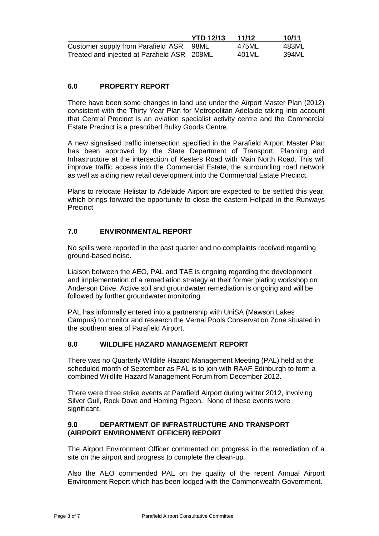|                                             | <b>YTD 12/13</b> | 11/12 | 10/11 |
|---------------------------------------------|------------------|-------|-------|
| Customer supply from Parafield ASR 98ML     |                  | 475ML | 483ML |
| Treated and injected at Parafield ASR 208ML |                  | 401ML | 394ML |

### **6.0 PROPERTY REPORT**

There have been some changes in land use under the Airport Master Plan (2012) consistent with the Thirty Year Plan for Metropolitan Adelaide taking into account that Central Precinct is an aviation specialist activity centre and the Commercial Estate Precinct is a prescribed Bulky Goods Centre.

A new signalised traffic intersection specified in the Parafield Airport Master Plan has been approved by the State Department of Transport, Planning and Infrastructure at the intersection of Kesters Road with Main North Road. This will improve traffic access into the Commercial Estate, the surrounding road network as well as aiding new retail development into the Commercial Estate Precinct.

Plans to relocate Helistar to Adelaide Airport are expected to be settled this year, which brings forward the opportunity to close the eastern Helipad in the Runways **Precinct** 

### **7.0 ENVIRONMENTAL REPORT**

No spills were reported in the past quarter and no complaints received regarding ground-based noise.

Liaison between the AEO, PAL and TAE is ongoing regarding the development and implementation of a remediation strategy at their former plating workshop on Anderson Drive. Active soil and groundwater remediation is ongoing and will be followed by further groundwater monitoring.

PAL has informally entered into a partnership with UniSA (Mawson Lakes Campus) to monitor and research the Vernal Pools Conservation Zone situated in the southern area of Parafield Airport.

#### **8.0 WILDLIFE HAZARD MANAGEMENT REPORT**

There was no Quarterly Wildlife Hazard Management Meeting (PAL) held at the scheduled month of September as PAL is to join with RAAF Edinburgh to form a combined Wildlife Hazard Management Forum from December 2012.

There were three strike events at Parafield Airport during winter 2012, involving Silver Gull, Rock Dove and Homing Pigeon. None of these events were significant.

#### **9.0 DEPARTMENT OF INFRASTRUCTURE AND TRANSPORT (AIRPORT ENVIRONMENT OFFICER) REPORT**

The Airport Environment Officer commented on progress in the remediation of a site on the airport and progress to complete the clean-up.

Also the AEO commended PAL on the quality of the recent Annual Airport Environment Report which has been lodged with the Commonwealth Government.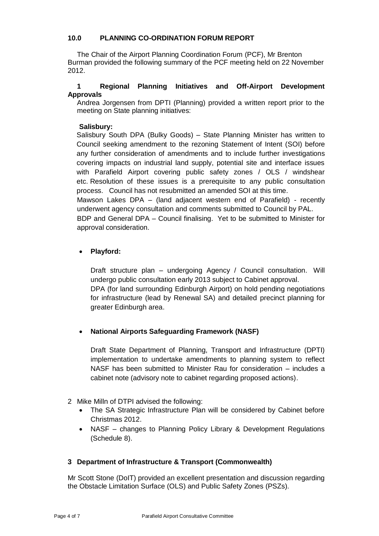### **10.0 PLANNING CO-ORDINATION FORUM REPORT**

The Chair of the Airport Planning Coordination Forum (PCF), Mr Brenton Burman provided the following summary of the PCF meeting held on 22 November 2012.

### **1 Regional Planning Initiatives and Off-Airport Development Approvals**

Andrea Jorgensen from DPTI (Planning) provided a written report prior to the meeting on State planning initiatives:

### **Salisbury:**

Salisbury South DPA (Bulky Goods) – State Planning Minister has written to Council seeking amendment to the rezoning Statement of Intent (SOI) before any further consideration of amendments and to include further investigations covering impacts on industrial land supply, potential site and interface issues with Parafield Airport covering public safety zones / OLS / windshear etc. Resolution of these issues is a prerequisite to any public consultation process. Council has not resubmitted an amended SOI at this time.

Mawson Lakes DPA – (land adjacent western end of Parafield) - recently underwent agency consultation and comments submitted to Council by PAL.

BDP and General DPA – Council finalising. Yet to be submitted to Minister for approval consideration.

## **Playford:**

Draft structure plan – undergoing Agency / Council consultation. Will undergo public consultation early 2013 subject to Cabinet approval. DPA (for land surrounding Edinburgh Airport) on hold pending negotiations for infrastructure (lead by Renewal SA) and detailed precinct planning for greater Edinburgh area.

## **National Airports Safeguarding Framework (NASF)**

Draft State Department of Planning, Transport and Infrastructure (DPTI) implementation to undertake amendments to planning system to reflect NASF has been submitted to Minister Rau for consideration – includes a cabinet note (advisory note to cabinet regarding proposed actions).

- 2 Mike Milln of DTPI advised the following:
	- The SA Strategic Infrastructure Plan will be considered by Cabinet before Christmas 2012.
	- NASF changes to Planning Policy Library & Development Regulations (Schedule 8).

## **3 Department of Infrastructure & Transport (Commonwealth)**

Mr Scott Stone (DoIT) provided an excellent presentation and discussion regarding the Obstacle Limitation Surface (OLS) and Public Safety Zones (PSZs).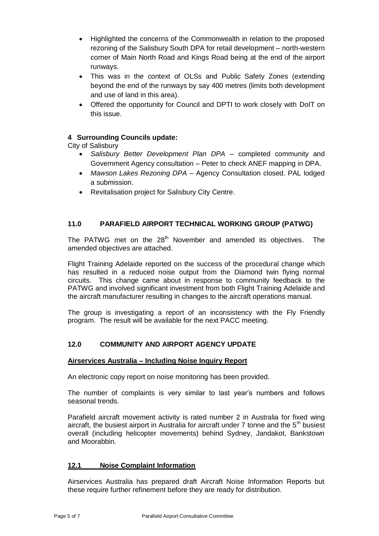- Highlighted the concerns of the Commonwealth in relation to the proposed rezoning of the Salisbury South DPA for retail development – north-western corner of Main North Road and Kings Road being at the end of the airport runways.
- This was in the context of OLSs and Public Safety Zones (extending beyond the end of the runways by say 400 metres (limits both development and use of land in this area).
- Offered the opportunity for Council and DPTI to work closely with DoIT on this issue.

## **4 Surrounding Councils update:**

City of Salisbury

- *Salisbury Better Development Plan DPA* completed community and Government Agency consultation – Peter to check ANEF mapping in DPA.
- *Mawson Lakes Rezoning DPA* Agency Consultation closed. PAL lodged a submission.
- Revitalisation project for Salisbury City Centre.

## **11.0 PARAFIELD AIRPORT TECHNICAL WORKING GROUP (PATWG)**

The PATWG met on the  $28<sup>th</sup>$  November and amended its objectives. The amended objectives are attached.

Flight Training Adelaide reported on the success of the procedural change which has resulted in a reduced noise output from the Diamond twin flying normal circuits. This change came about in response to community feedback to the PATWG and involved significant investment from both Flight Training Adelaide and the aircraft manufacturer resulting in changes to the aircraft operations manual.

The group is investigating a report of an inconsistency with the Fly Friendly program. The result will be available for the next PACC meeting.

## **12.0 COMMUNITY AND AIRPORT AGENCY UPDATE**

#### **Airservices Australia – Including Noise Inquiry Report**

An electronic copy report on noise monitoring has been provided.

The number of complaints is very similar to last year's numbers and follows seasonal trends.

Parafield aircraft movement activity is rated number 2 in Australia for fixed wing aircraft, the busiest airport in Australia for aircraft under  $7$  tonne and the  $5<sup>th</sup>$  busiest overall (including helicopter movements) behind Sydney, Jandakot, Bankstown and Moorabbin.

## **12.1 Noise Complaint Information**

Airservices Australia has prepared draft Aircraft Noise Information Reports but these require further refinement before they are ready for distribution.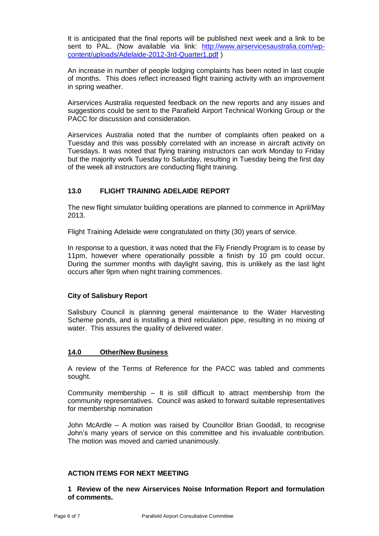It is anticipated that the final reports will be published next week and a link to be sent to PAL. (Now available via link: [http://www.airservicesaustralia.com/wp](http://www.airservicesaustralia.com/wp-content/uploads/Adelaide-2012-3rd-Quarter1.pdf)[content/uploads/Adelaide-2012-3rd-Quarter1.pdf](http://www.airservicesaustralia.com/wp-content/uploads/Adelaide-2012-3rd-Quarter1.pdf) )

An increase in number of people lodging complaints has been noted in last couple of months. This does reflect increased flight training activity with an improvement in spring weather.

Airservices Australia requested feedback on the new reports and any issues and suggestions could be sent to the Parafield Airport Technical Working Group or the PACC for discussion and consideration.

Airservices Australia noted that the number of complaints often peaked on a Tuesday and this was possibly correlated with an increase in aircraft activity on Tuesdays. It was noted that flying training instructors can work Monday to Friday but the majority work Tuesday to Saturday, resulting in Tuesday being the first day of the week all instructors are conducting flight training.

## **13.0 FLIGHT TRAINING ADELAIDE REPORT**

The new flight simulator building operations are planned to commence in April/May 2013.

Flight Training Adelaide were congratulated on thirty (30) years of service.

In response to a question, it was noted that the Fly Friendly Program is to cease by 11pm, however where operationally possible a finish by 10 pm could occur. During the summer months with daylight saving, this is unlikely as the last light occurs after 9pm when night training commences.

#### **City of Salisbury Report**

Salisbury Council is planning general maintenance to the Water Harvesting Scheme ponds, and is installing a third reticulation pipe, resulting in no mixing of water. This assures the quality of delivered water.

#### **14.0 Other/New Business**

A review of the Terms of Reference for the PACC was tabled and comments sought.

Community membership – It is still difficult to attract membership from the community representatives. Council was asked to forward suitable representatives for membership nomination

John McArdle – A motion was raised by Councillor Brian Goodall, to recognise John's many years of service on this committee and his invaluable contribution. The motion was moved and carried unanimously.

#### **ACTION ITEMS FOR NEXT MEETING**

**1 Review of the new Airservices Noise Information Report and formulation of comments.**